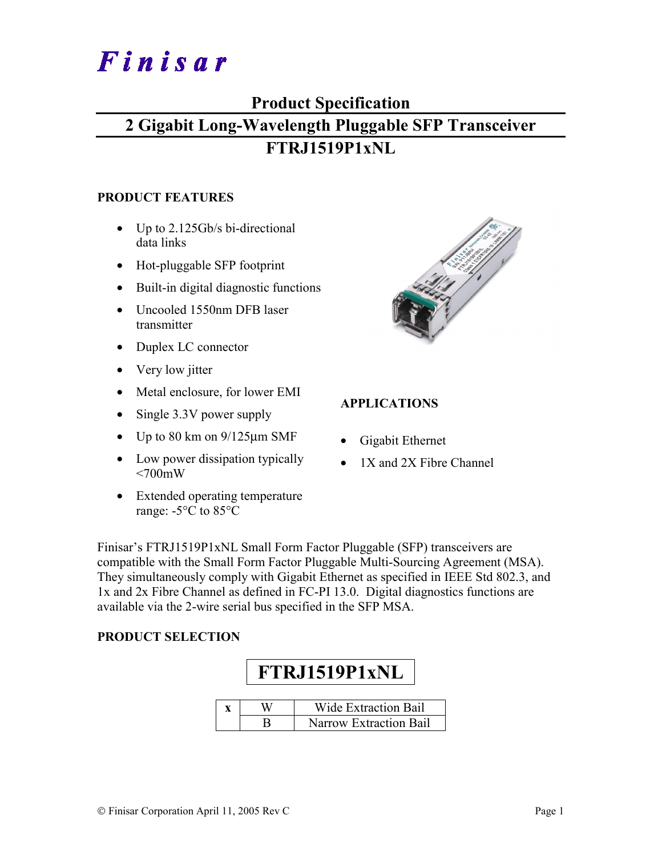# Finisar

## **Product Specification**

# **2 Gigabit Long-Wavelength Pluggable SFP Transceiver FTRJ1519P1xNL**

#### **PRODUCT FEATURES**

- Up to 2.125Gb/s bi-directional data links
- Hot-pluggable SFP footprint
- Built-in digital diagnostic functions
- Uncooled 1550nm DFB laser transmitter
- Duplex LC connector
- Very low jitter
- Metal enclosure, for lower EMI
- Single 3.3V power supply
- Up to 80 km on  $9/125 \mu m$  SMF
- Low power dissipation typically  $<700$ mW
- Extended operating temperature range: -5°C to 85°C



#### **APPLICATIONS**

- Gigabit Ethernet
- 1X and 2X Fibre Channel

Finisar's FTRJ1519P1xNL Small Form Factor Pluggable (SFP) transceivers are compatible with the Small Form Factor Pluggable Multi-Sourcing Agreement (MSA). They simultaneously comply with Gigabit Ethernet as specified in IEEE Std 802.3, and 1x and 2x Fibre Channel as defined in FC-PI 13.0. Digital diagnostics functions are available via the 2-wire serial bus specified in the SFP MSA.

#### **PRODUCT SELECTION**



|  | Wide Extraction Bail   |
|--|------------------------|
|  | Narrow Extraction Bail |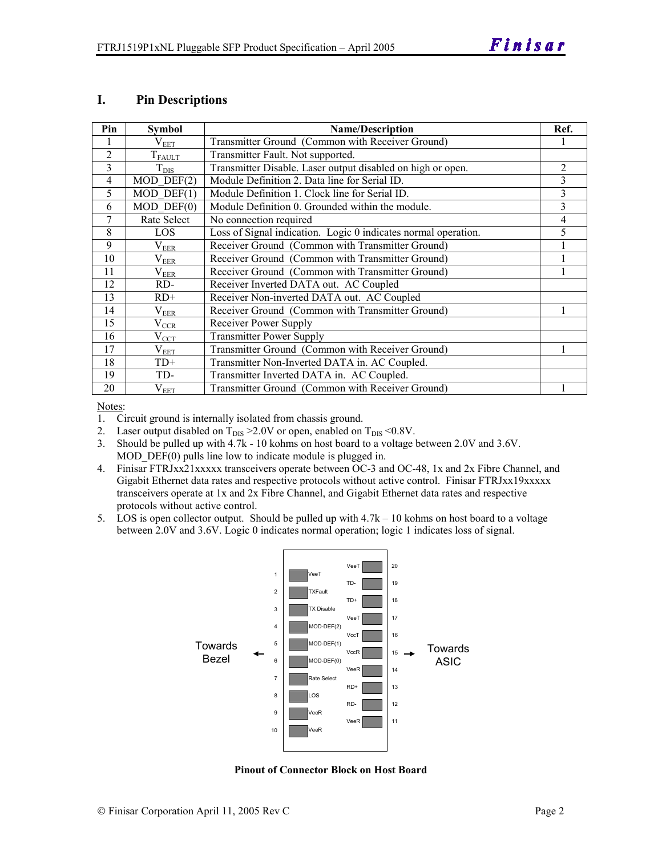#### **I. Pin Descriptions**

| Pin            | <b>Symbol</b>    | <b>Name/Description</b>                                        | Ref. |
|----------------|------------------|----------------------------------------------------------------|------|
|                | $\rm V_{EET}$    | Transmitter Ground (Common with Receiver Ground)               |      |
| $\overline{2}$ | $T_{FAULT}$      | Transmitter Fault. Not supported.                              |      |
| 3              | $T_{\text{DIS}}$ | Transmitter Disable. Laser output disabled on high or open.    | 2    |
| $\overline{4}$ | $MOD$ DEF $(2)$  | Module Definition 2. Data line for Serial ID.                  | 3    |
| 5              | $MOD$ DEF $(1)$  | Module Definition 1. Clock line for Serial ID.                 | 3    |
| 6              | $MOD$ $DEF(0)$   | Module Definition 0. Grounded within the module.               | 3    |
| 7              | Rate Select      | No connection required                                         | 4    |
| 8              | LOS.             | Loss of Signal indication. Logic 0 indicates normal operation. | 5    |
| 9              | $\rm V_{EER}$    | Receiver Ground (Common with Transmitter Ground)               |      |
| 10             | $\rm V_{EER}$    | Receiver Ground (Common with Transmitter Ground)               |      |
| 11             | $\rm V_{EER}$    | Receiver Ground (Common with Transmitter Ground)               |      |
| 12             | RD-              | Receiver Inverted DATA out. AC Coupled                         |      |
| 13             | $RD+$            | Receiver Non-inverted DATA out. AC Coupled                     |      |
| 14             | $\rm V_{EER}$    | Receiver Ground (Common with Transmitter Ground)               |      |
| 15             | $\rm V_{CCR}$    | Receiver Power Supply                                          |      |
| 16             | $V_{\rm CCT}$    | <b>Transmitter Power Supply</b>                                |      |
| 17             | $\rm V_{EET}$    | Transmitter Ground (Common with Receiver Ground)               |      |
| 18             | $TD+$            | Transmitter Non-Inverted DATA in. AC Coupled.                  |      |
| 19             | TD-              | Transmitter Inverted DATA in. AC Coupled.                      |      |
| 20             | $\rm V_{EET}$    | Transmitter Ground (Common with Receiver Ground)               |      |

Notes:

1. Circuit ground is internally isolated from chassis ground.

2. Laser output disabled on  $T_{DIS} > 2.0V$  or open, enabled on  $T_{DIS} < 0.8V$ .

3. Should be pulled up with 4.7k - 10 kohms on host board to a voltage between 2.0V and 3.6V. MOD DEF(0) pulls line low to indicate module is plugged in.

- 4. Finisar FTRJxx21xxxxx transceivers operate between OC-3 and OC-48, 1x and 2x Fibre Channel, and Gigabit Ethernet data rates and respective protocols without active control. Finisar FTRJxx19xxxxx transceivers operate at 1x and 2x Fibre Channel, and Gigabit Ethernet data rates and respective protocols without active control.
- 5. LOS is open collector output. Should be pulled up with 4.7k 10 kohms on host board to a voltage between 2.0V and 3.6V. Logic 0 indicates normal operation; logic 1 indicates loss of signal.



**Pinout of Connector Block on Host Board**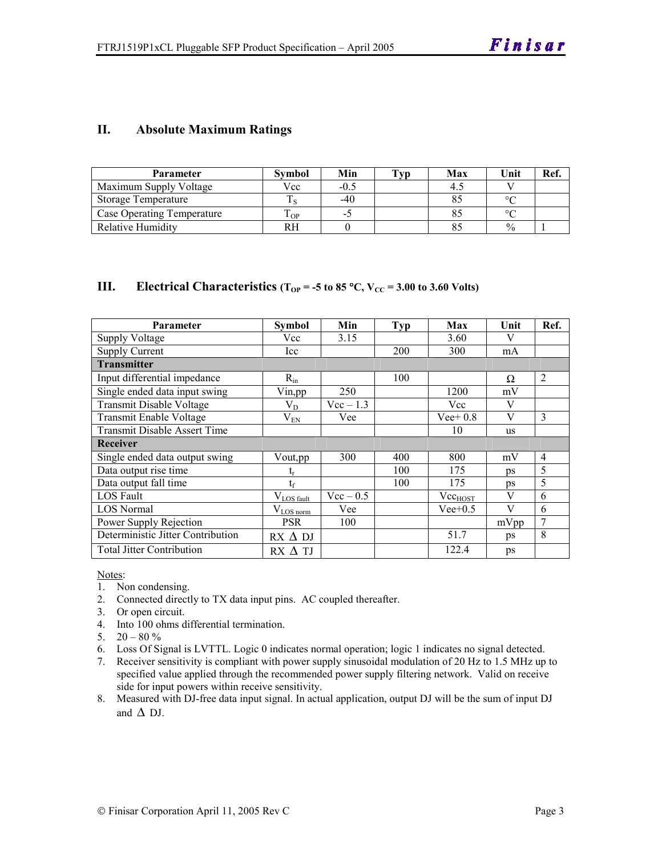#### **II. Absolute Maximum Ratings**

| <b>Parameter</b>                  | <b>Symbol</b> | Min    | Tvp | Max | Unit          | Ref |
|-----------------------------------|---------------|--------|-----|-----|---------------|-----|
| Maximum Supply Voltage            | Vcc           | $-0.5$ |     |     |               |     |
| Storage Temperature               |               | $-40$  |     |     | $\circ$       |     |
| <b>Case Operating Temperature</b> | OP-           | - 1    |     |     | $\circ$       |     |
| Relative Humidity                 | RH.           |        |     |     | $\frac{0}{0}$ |     |

#### **III.** Electrical Characteristics ( $T_{OP} = -5$  to 85 °C,  $V_{CC} = 3.00$  to 3.60 Volts)

| <b>Parameter</b>                    | Symbol           | Min         | <b>Typ</b> | Max          | Unit      | Ref.           |
|-------------------------------------|------------------|-------------|------------|--------------|-----------|----------------|
| Supply Voltage                      | Vcc              | 3.15        |            | 3.60         | V         |                |
| <b>Supply Current</b>               | Icc              |             | 200        | 300          | mA        |                |
| <b>Transmitter</b>                  |                  |             |            |              |           |                |
| Input differential impedance        | $R_{in}$         |             | 100        |              | Ω         | 2              |
| Single ended data input swing       | Vin, pp          | 250         |            | 1200         | mV        |                |
| <b>Transmit Disable Voltage</b>     | $\rm V_{D}$      | $Vec-1.3$   |            | Vcc          | V         |                |
| Transmit Enable Voltage             | $\rm V_{EN}$     | Vee         |            | $Vee+0.8$    | V         | 3              |
| <b>Transmit Disable Assert Time</b> |                  |             |            | 10           | <b>us</b> |                |
| Receiver                            |                  |             |            |              |           |                |
| Single ended data output swing      | Vout, pp         | 300         | 400        | 800          | mV        | $\overline{4}$ |
| Data output rise time               | եր               |             | 100        | 175          | ps        | 5              |
| Data output fall time               | $t_{\rm f}$      |             | 100        | 175          | <b>ps</b> | 5              |
| LOS Fault                           | $V_{LOS\_fault}$ | $Vec - 0.5$ |            | $Vec_{HOST}$ | V         | 6              |
| <b>LOS</b> Normal                   | $V_{LOS\,norm}$  | Vee         |            | $Vee+0.5$    | V         | 6              |
| Power Supply Rejection              | <b>PSR</b>       | 100         |            |              | mVpp      | $\overline{7}$ |
| Deterministic Jitter Contribution   | $RX \Delta DI$   |             |            | 51.7         | ps        | 8              |
| <b>Total Jitter Contribution</b>    | $RX \Delta TI$   |             |            | 122.4        | ps        |                |

Notes:

- 1. Non condensing.
- 2. Connected directly to TX data input pins. AC coupled thereafter.
- 3. Or open circuit.
- 4. Into 100 ohms differential termination.
- 5.  $20 80 \%$
- 6. Loss Of Signal is LVTTL. Logic 0 indicates normal operation; logic 1 indicates no signal detected.
- 7. Receiver sensitivity is compliant with power supply sinusoidal modulation of 20 Hz to 1.5 MHz up to specified value applied through the recommended power supply filtering network. Valid on receive side for input powers within receive sensitivity.
- 8. Measured with DJ-free data input signal. In actual application, output DJ will be the sum of input DJ and  $\Delta$  DJ.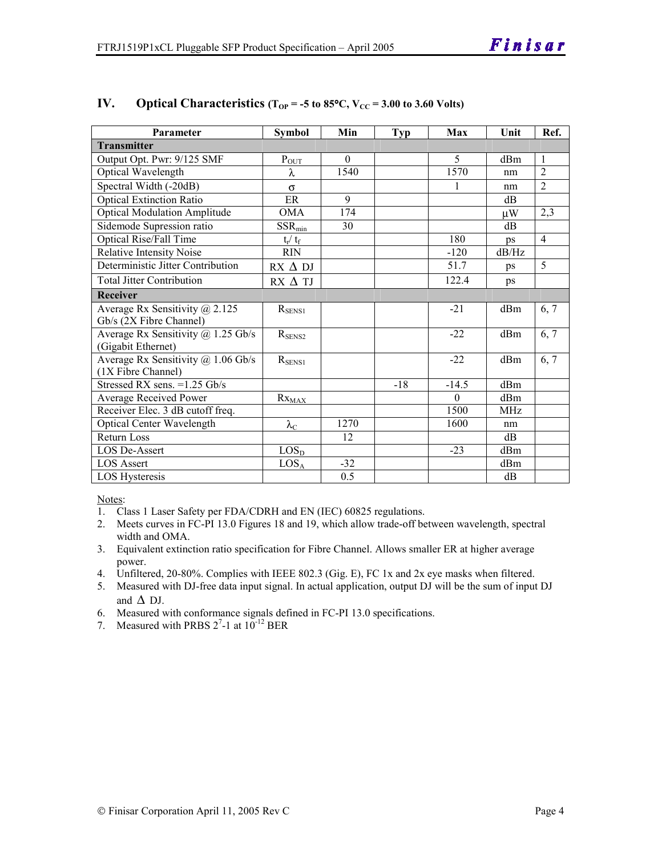| Parameter                                 | <b>Symbol</b>          | Min      | <b>Typ</b> | Max      | Unit       | Ref.           |
|-------------------------------------------|------------------------|----------|------------|----------|------------|----------------|
| <b>Transmitter</b>                        |                        |          |            |          |            |                |
| Output Opt. Pwr: 9/125 SMF                | $P_{\text{OUT}}$       | $\Omega$ |            | 5        | dBm        | $\overline{1}$ |
| Optical Wavelength                        | λ                      | 1540     |            | 1570     | nm         | $\overline{2}$ |
| Spectral Width (-20dB)                    | $\sigma$               |          |            | 1        | nm         | $\overline{2}$ |
| <b>Optical Extinction Ratio</b>           | ER                     | 9        |            |          | dB         |                |
| <b>Optical Modulation Amplitude</b>       | <b>OMA</b>             | 174      |            |          | μW         | 2,3            |
| Sidemode Supression ratio                 | $SSR_{min}$            | 30       |            |          | dB         |                |
| <b>Optical Rise/Fall Time</b>             | $t_r / t_f$            |          |            | 180      | ps         | $\overline{4}$ |
| <b>Relative Intensity Noise</b>           | <b>RIN</b>             |          |            | $-120$   | dB/Hz      |                |
| Deterministic Jitter Contribution         | $RX \Delta DI$         |          |            | 51.7     | ps         | 5              |
| <b>Total Jitter Contribution</b>          | $RX \Delta TI$         |          |            | 122.4    | ps         |                |
| Receiver                                  |                        |          |            |          |            |                |
| Average Rx Sensitivity $\omega$ 2.125     | $R_{SENS1}$            |          |            | $-21$    | dBm        | 6, 7           |
| Gb/s (2X Fibre Channel)                   |                        |          |            |          |            |                |
| Average Rx Sensitivity $\omega$ 1.25 Gb/s | $R_{SENS2}$            |          |            | $-22$    | dBm        | 6, 7           |
| (Gigabit Ethernet)                        |                        |          |            |          |            |                |
| Average Rx Sensitivity @ 1.06 Gb/s        | $R_{SENS1}$            |          |            | $-22$    | dBm        | 6, 7           |
| (1X Fibre Channel)                        |                        |          |            |          |            |                |
| Stressed RX sens. = 1.25 Gb/s             |                        |          | $-18$      | $-14.5$  | dBm        |                |
| Average Received Power                    | $Rx_{\underline{MAX}}$ |          |            | $\Omega$ | dBm        |                |
| Receiver Elec. 3 dB cutoff freq.          |                        |          |            | 1500     | <b>MHz</b> |                |
| Optical Center Wavelength                 | $\lambda_{\rm C}$      | 1270     |            | 1600     | nm         |                |
| Return Loss                               |                        | 12       |            |          | dB         |                |
| LOS De-Assert                             | LOS <sub>D</sub>       |          |            | $-23$    | dBm        |                |
| <b>LOS Assert</b>                         | $LOS_A$                | $-32$    |            |          | dBm        |                |
| LOS Hysteresis                            |                        | 0.5      |            |          | dB         |                |

#### **IV.** Optical Characteristics ( $T_{OP} = -5$  to 85°C,  $V_{CC} = 3.00$  to 3.60 Volts)

Notes:

- 1. Class 1 Laser Safety per FDA/CDRH and EN (IEC) 60825 regulations.
- 2. Meets curves in FC-PI 13.0 Figures 18 and 19, which allow trade-off between wavelength, spectral width and OMA.
- 3. Equivalent extinction ratio specification for Fibre Channel. Allows smaller ER at higher average power.
- 4. Unfiltered, 20-80%. Complies with IEEE 802.3 (Gig. E), FC 1x and 2x eye masks when filtered.
- 5. Measured with DJ-free data input signal. In actual application, output DJ will be the sum of input DJ and  $\Delta$  DJ.

6. Measured with conformance signals defined in FC-PI 13.0 specifications.

7. Measured with PRBS  $2^7$ -1 at  $10^{-12}$  BER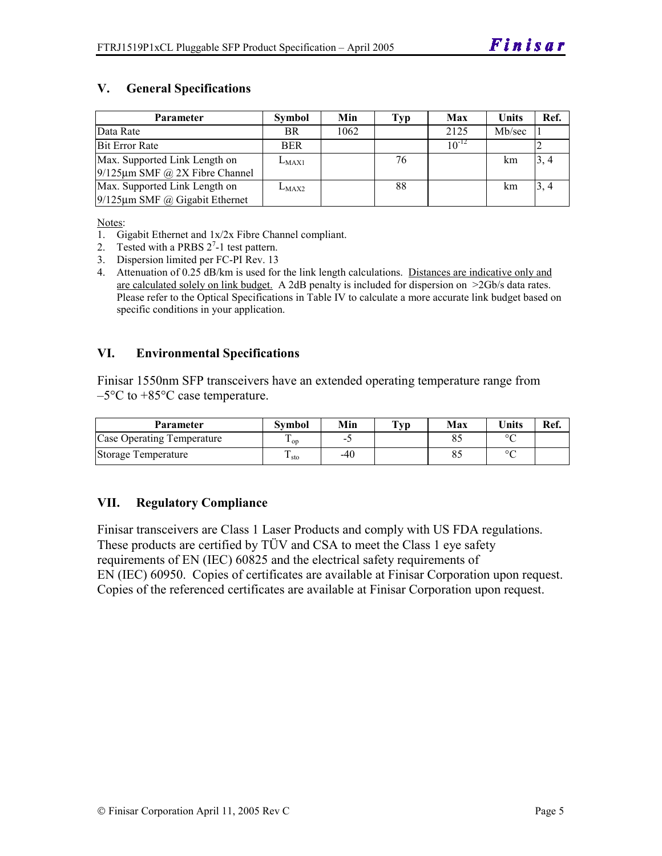#### **V. General Specifications**

| <b>Parameter</b>                     | <b>Symbol</b> | Min  | Typ | <b>Max</b> | <b>Units</b> | Ref. |
|--------------------------------------|---------------|------|-----|------------|--------------|------|
| Data Rate                            | BR.           | 1062 |     | 2125       | Mb/sec       |      |
| <b>Bit Error Rate</b>                | <b>BER</b>    |      |     | $10^{-12}$ |              |      |
| Max. Supported Link Length on        | $L_{MAX1}$    |      | 76  |            | km           | 3, 4 |
| $9/125 \mu m$ SMF @ 2X Fibre Channel |               |      |     |            |              |      |
| Max. Supported Link Length on        | $L_{MAX2}$    |      | 88  |            | km           | 3, 4 |
| $9/125 \mu m$ SMF @ Gigabit Ethernet |               |      |     |            |              |      |

Notes:

- 1. Gigabit Ethernet and 1x/2x Fibre Channel compliant.
- 2. Tested with a PRBS  $2^7$ -1 test pattern.
- 3. Dispersion limited per FC-PI Rev. 13
- 4. Attenuation of 0.25 dB/km is used for the link length calculations. Distances are indicative only and are calculated solely on link budget. A 2dB penalty is included for dispersion on >2Gb/s data rates. Please refer to the Optical Specifications in Table IV to calculate a more accurate link budget based on specific conditions in your application.

#### **VI. Environmental Specifications**

Finisar 1550nm SFP transceivers have an extended operating temperature range from  $-5^{\circ}$ C to  $+85^{\circ}$ C case temperature.

| <b>Parameter</b>           | Svmbol          | Min   | $\mathbf{T}_{\mathbf{V}\mathbf{p}}$ | Max | <b>Units</b> | Ref. |
|----------------------------|-----------------|-------|-------------------------------------|-----|--------------|------|
| Case Operating Temperature | $\mathbf{1}$ op | -     |                                     | 85  | $\sim$       |      |
| Storage Temperature        | $\pm$ sto       | $-40$ |                                     | 85  | $\circ$      |      |

#### **VII. Regulatory Compliance**

Finisar transceivers are Class 1 Laser Products and comply with US FDA regulations. These products are certified by TÜV and CSA to meet the Class 1 eye safety requirements of EN (IEC) 60825 and the electrical safety requirements of EN (IEC) 60950. Copies of certificates are available at Finisar Corporation upon request. Copies of the referenced certificates are available at Finisar Corporation upon request.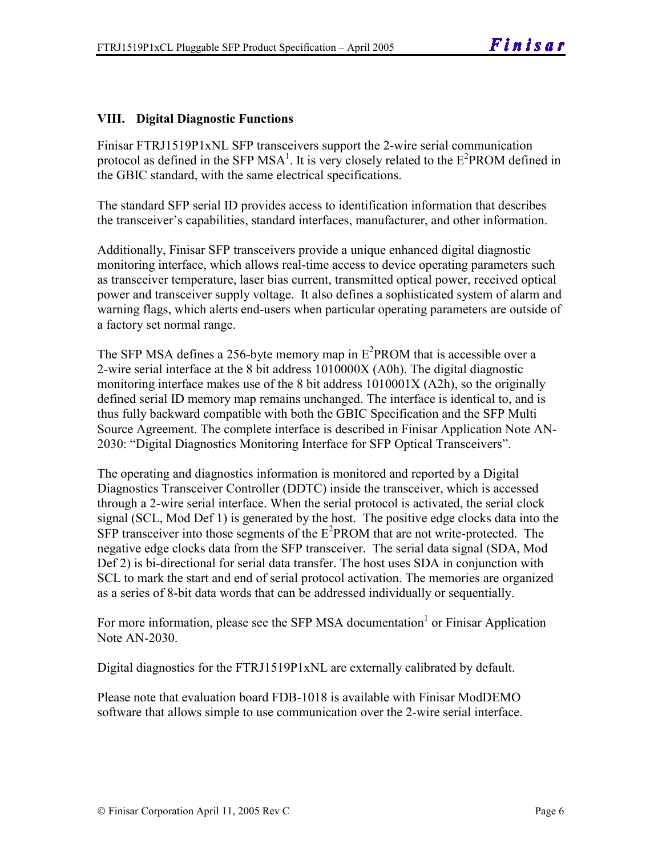#### **VIII. Digital Diagnostic Functions**

Finisar FTRJ1519P1xNL SFP transceivers support the 2-wire serial communication protocol as defined in the SFP MSA<sup>1</sup>. It is very closely related to the  $E^2$ PROM defined in the GBIC standard, with the same electrical specifications.

The standard SFP serial ID provides access to identification information that describes the transceiver's capabilities, standard interfaces, manufacturer, and other information.

Additionally, Finisar SFP transceivers provide a unique enhanced digital diagnostic monitoring interface, which allows real-time access to device operating parameters such as transceiver temperature, laser bias current, transmitted optical power, received optical power and transceiver supply voltage. It also defines a sophisticated system of alarm and warning flags, which alerts end-users when particular operating parameters are outside of a factory set normal range.

The SFP MSA defines a 256-byte memory map in  $E^2$ PROM that is accessible over a 2-wire serial interface at the 8 bit address 1010000X (A0h). The digital diagnostic monitoring interface makes use of the 8 bit address 1010001X (A2h), so the originally defined serial ID memory map remains unchanged. The interface is identical to, and is thus fully backward compatible with both the GBIC Specification and the SFP Multi Source Agreement. The complete interface is described in Finisar Application Note AN-2030: "Digital Diagnostics Monitoring Interface for SFP Optical Transceivers".

The operating and diagnostics information is monitored and reported by a Digital Diagnostics Transceiver Controller (DDTC) inside the transceiver, which is accessed through a 2-wire serial interface. When the serial protocol is activated, the serial clock signal (SCL, Mod Def 1) is generated by the host. The positive edge clocks data into the SFP transceiver into those segments of the E<sup>2</sup>PROM that are not write-protected. The negative edge clocks data from the SFP transceiver. The serial data signal (SDA, Mod Def 2) is bi-directional for serial data transfer. The host uses SDA in conjunction with SCL to mark the start and end of serial protocol activation. The memories are organized as a series of 8-bit data words that can be addressed individually or sequentially.

For more information, please see the SFP MSA documentation<sup>1</sup> or Finisar Application Note AN-2030.

Digital diagnostics for the FTRJ1519P1xNL are externally calibrated by default.

Please note that evaluation board FDB-1018 is available with Finisar ModDEMO software that allows simple to use communication over the 2-wire serial interface.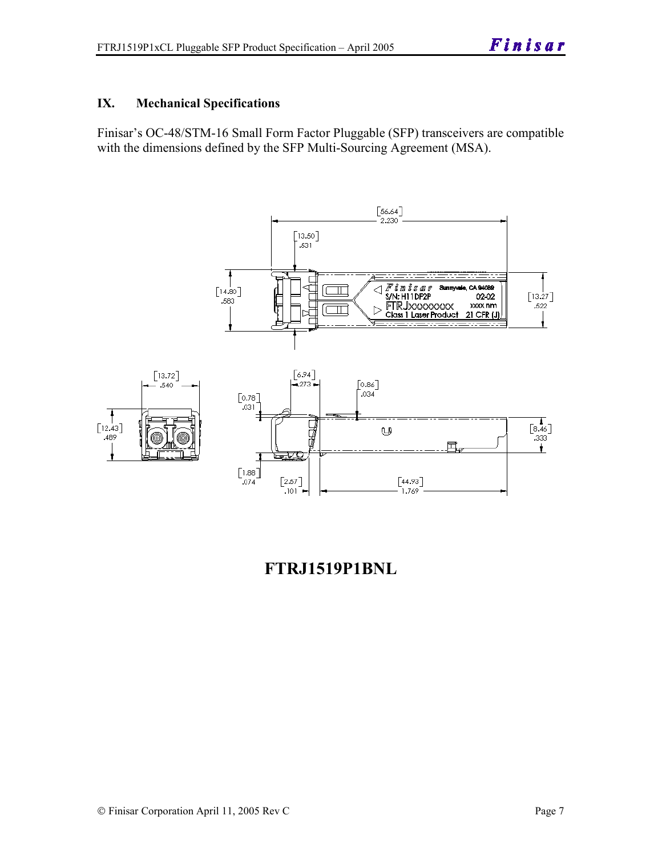#### **IX. Mechanical Specifications**

Finisar's OC-48/STM-16 Small Form Factor Pluggable (SFP) transceivers are compatible with the dimensions defined by the SFP Multi-Sourcing Agreement (MSA).



### **FTRJ1519P1BNL**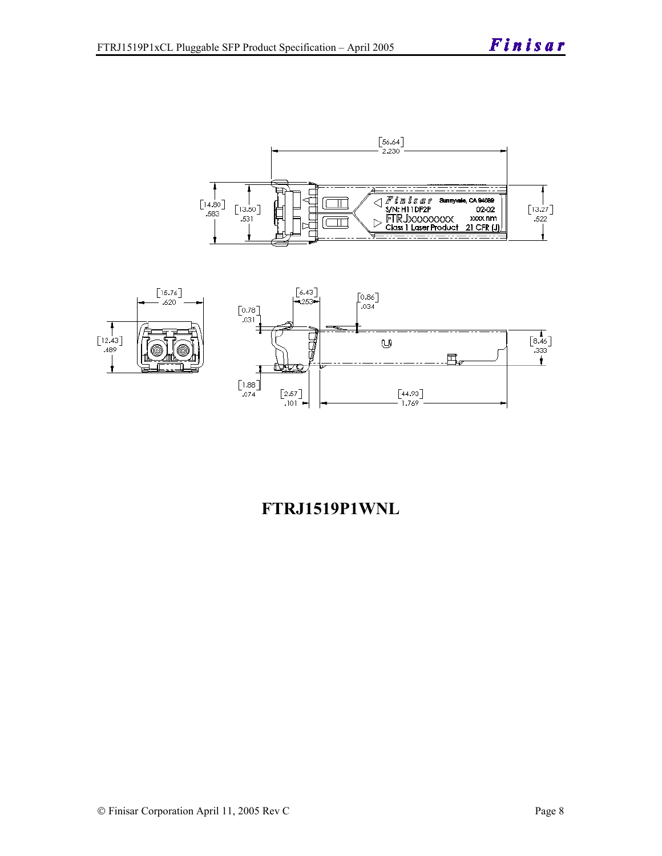



# **FTRJ1519P1WNL**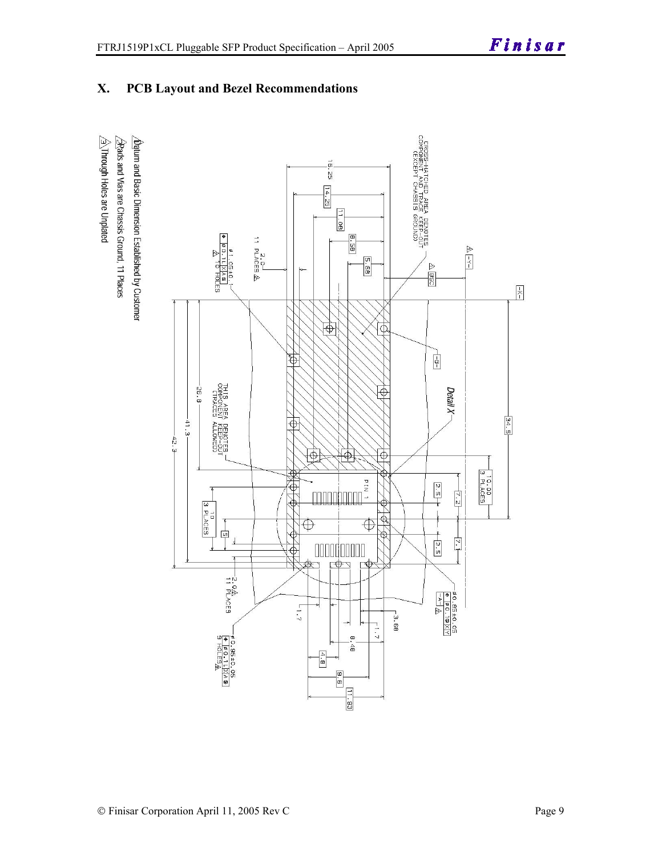**X. PCB Layout and Bezel Recommendations** 

# $\hat{\triangle}$ Through Holes are Unplated  $\sqrt{2}$ Rads and Vias are Chassis Ground, 11 Places  $\Delta$ atum and Basic Dimension Established by Customer

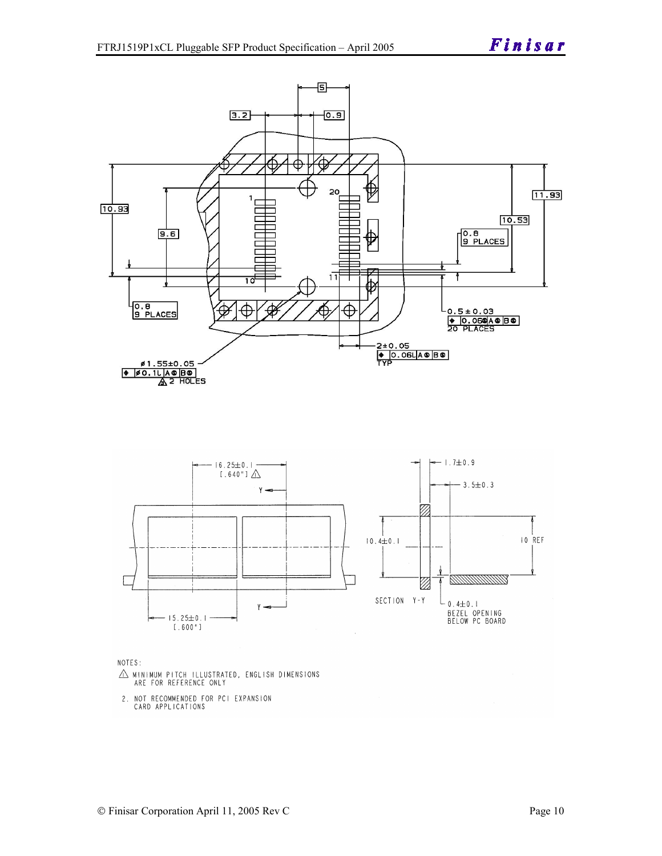





- $\triangle$  MINIMUM PITCH ILLUSTRATED, ENGLISH DIMENSIONS ARE FOR REFERENCE ONLY
- 2. NOT RECOMMENDED FOR PCI EXPANSION CARD APPLICATIONS